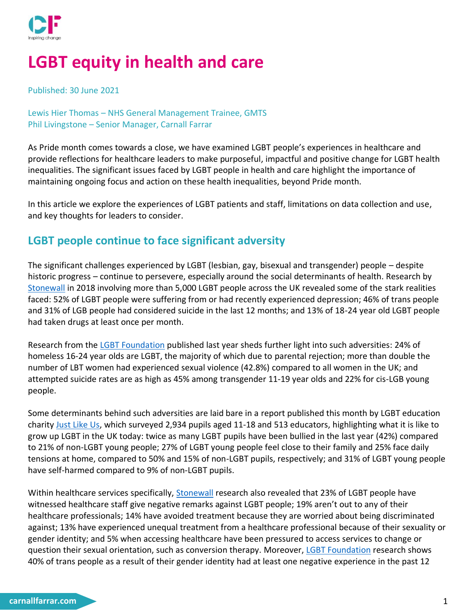

# **LGBT equity in health and care**

Published: 30 June 2021

Lewis Hier Thomas – NHS General Management Trainee, GMTS Phil Livingstone – Senior Manager, Carnall Farrar

As Pride month comes towards a close, we have examined LGBT people's experiences in healthcare and provide reflections for healthcare leaders to make purposeful, impactful and positive change for LGBT health inequalities. The significant issues faced by LGBT people in health and care highlight the importance of maintaining ongoing focus and action on these health inequalities, beyond Pride month.

In this article we explore the experiences of LGBT patients and staff, limitations on data collection and use, and key thoughts for leaders to consider.

### **LGBT people continue to face significant adversity**

The significant challenges experienced by LGBT (lesbian, gay, bisexual and transgender) people – despite historic progress – continue to persevere, especially around the social determinants of health. Research by [Stonewall](https://www.stonewall.org.uk/system/files/lgbt_in_britain_health.pdf) in 2018 involving more than 5,000 LGBT people across the UK revealed some of the stark realities faced: 52% of LGBT people were suffering from or had recently experienced depression; 46% of trans people and 31% of LGB people had considered suicide in the last 12 months; and 13% of 18-24 year old LGBT people had taken drugs at least once per month.

Research from the [LGBT Foundation](https://s3-eu-west-1.amazonaws.com/lgbt-website-media/Files/b9398153-0cca-40ea-abeb-f7d7c54d43af/Hidden%2520Figures%2520FULL%2520REPORT%2520Web%2520Version%2520Smaller.pdf) published last year sheds further light into such adversities: 24% of homeless 16-24 year olds are LGBT, the majority of which due to parental rejection; more than double the number of LBT women had experienced sexual violence (42.8%) compared to all women in the UK; and attempted suicide rates are as high as 45% among transgender 11-19 year olds and 22% for cis-LGB young people.

Some determinants behind such adversities are laid bare in a report published this month by LGBT education charity [Just Like Us,](https://www.justlikeus.org/single-post/growing-up-lgbt-just-like-us-research-report) which surveyed 2,934 pupils aged 11-18 and 513 educators, highlighting what it is like to grow up LGBT in the UK today: twice as many LGBT pupils have been bullied in the last year (42%) compared to 21% of non-LGBT young people; 27% of LGBT young people feel close to their family and 25% face daily tensions at home, compared to 50% and 15% of non-LGBT pupils, respectively; and 31% of LGBT young people have self-harmed compared to 9% of non-LGBT pupils.

Within healthcare services specifically, [Stonewall](https://www.stonewall.org.uk/system/files/lgbt_in_britain_health.pdf) research also revealed that 23% of LGBT people have witnessed healthcare staff give negative remarks against LGBT people; 19% aren't out to any of their healthcare professionals; 14% have avoided treatment because they are worried about being discriminated against; 13% have experienced unequal treatment from a healthcare professional because of their sexuality or gender identity; and 5% when accessing healthcare have been pressured to access services to change or question their sexual orientation, such as conversion therapy. Moreover, [LGBT Foundation](https://s3-eu-west-1.amazonaws.com/lgbt-website-media/Files/b9398153-0cca-40ea-abeb-f7d7c54d43af/Hidden%2520Figures%2520FULL%2520REPORT%2520Web%2520Version%2520Smaller.pdf) research shows 40% of trans people as a result of their gender identity had at least one negative experience in the past 12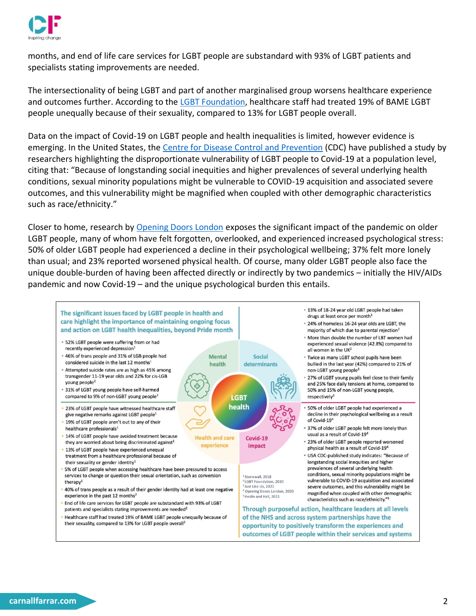

months, and end of life care services for LGBT people are substandard with 93% of LGBT patients and specialists stating improvements are needed.

The intersectionality of being LGBT and part of another marginalised group worsens healthcare experience and outcomes further. According to the [LGBT Foundation,](https://s3-eu-west-1.amazonaws.com/lgbt-website-media/Files/b9398153-0cca-40ea-abeb-f7d7c54d43af/Hidden%2520Figures%2520FULL%2520REPORT%2520Web%2520Version%2520Smaller.pdf) healthcare staff had treated 19% of BAME LGBT people unequally because of their sexuality, compared to 13% for LGBT people overall.

Data on the impact of Covid-19 on LGBT people and health inequalities is limited, however evidence is emerging. In the United States, the [Centre for Disease Control and Prevention](https://www.cdc.gov/mmwr/volumes/70/wr/mm7005a1.htm?s_cid=mm7005a1_w) (CDC) have published a study by researchers highlighting the disproportionate vulnerability of LGBT people to Covid-19 at a population level, citing that: "Because of longstanding social inequities and higher prevalences of several underlying health conditions, sexual minority populations might be vulnerable to COVID-19 acquisition and associated severe outcomes, and this vulnerability might be magnified when coupled with other demographic characteristics such as race/ethnicity."

Closer to home, research by [Opening Doors London](https://www.openingdoorslondon.org.uk/news/connect-only) exposes the significant impact of the pandemic on older LGBT people, many of whom have felt forgotten, overlooked, and experienced increased psychological stress: 50% of older LGBT people had experienced a decline in their psychological wellbeing; 37% felt more lonely than usual; and 23% reported worsened physical health. Of course, many older LGBT people also face the unique double-burden of having been affected directly or indirectly by two pandemics – initially the HIV/AIDs pandemic and now Covid-19 – and the unique psychological burden this entails.

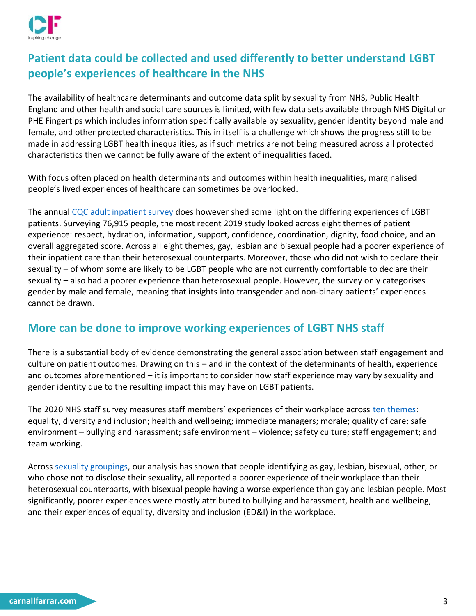

# **Patient data could be collected and used differently to better understand LGBT people's experiences of healthcare in the NHS**

The availability of healthcare determinants and outcome data split by sexuality from NHS, Public Health England and other health and social care sources is limited, with few data sets available through NHS Digital or PHE Fingertips which includes information specifically available by sexuality, gender identity beyond male and female, and other protected characteristics. This in itself is a challenge which shows the progress still to be made in addressing LGBT health inequalities, as if such metrics are not being measured across all protected characteristics then we cannot be fully aware of the extent of inequalities faced.

With focus often placed on health determinants and outcomes within health inequalities, marginalised people's lived experiences of healthcare can sometimes be overlooked.

The annual [CQC adult inpatient survey](https://www.cqc.org.uk/sites/default/files/20200702_ip19_statisticalrelease.pdf) does however shed some light on the differing experiences of LGBT patients. Surveying 76,915 people, the most recent 2019 study looked across eight themes of patient experience: respect, hydration, information, support, confidence, coordination, dignity, food choice, and an overall aggregated score. Across all eight themes, gay, lesbian and bisexual people had a poorer experience of their inpatient care than their heterosexual counterparts. Moreover, those who did not wish to declare their sexuality – of whom some are likely to be LGBT people who are not currently comfortable to declare their sexuality – also had a poorer experience than heterosexual people. However, the survey only categorises gender by male and female, meaning that insights into transgender and non-binary patients' experiences cannot be drawn.

# **More can be done to improve working experiences of LGBT NHS staff**

There is a substantial body of evidence demonstrating the general association between staff engagement and culture on patient outcomes. Drawing on this – and in the context of the determinants of health, experience and outcomes aforementioned – it is important to consider how staff experience may vary by sexuality and gender identity due to the resulting impact this may have on LGBT patients.

The 2020 NHS staff survey measures staff members' experiences of their workplace across [ten themes:](https://www.nhsstaffsurveyresults.com/wp-content/uploads/2021/03/NHS-Staff-Survey-2020-Technical-document-V2.pdf) equality, diversity and inclusion; health and wellbeing; immediate managers; morale; quality of care; safe environment – bullying and harassment; safe environment – violence; safety culture; staff engagement; and team working.

Across [sexuality groupings,](https://www.nhsstaffsurveyresults.com/homepage/national-results-2020/demographic-breakdowns-themes-2020/) our analysis has shown that people identifying as gay, lesbian, bisexual, other, or who chose not to disclose their sexuality, all reported a poorer experience of their workplace than their heterosexual counterparts, with bisexual people having a worse experience than gay and lesbian people. Most significantly, poorer experiences were mostly attributed to bullying and harassment, health and wellbeing, and their experiences of equality, diversity and inclusion (ED&I) in the workplace.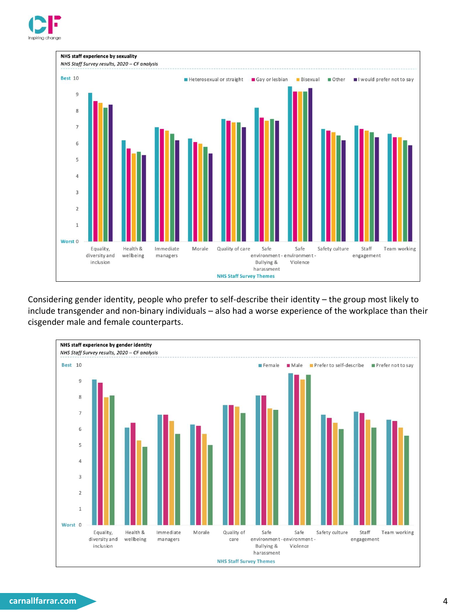



Considering gender identity, people who prefer to self-describe their identity – the group most likely to include transgender and non-binary individuals – also had a worse experience of the workplace than their cisgender male and female counterparts.



#### **carnallfarrar.com** 4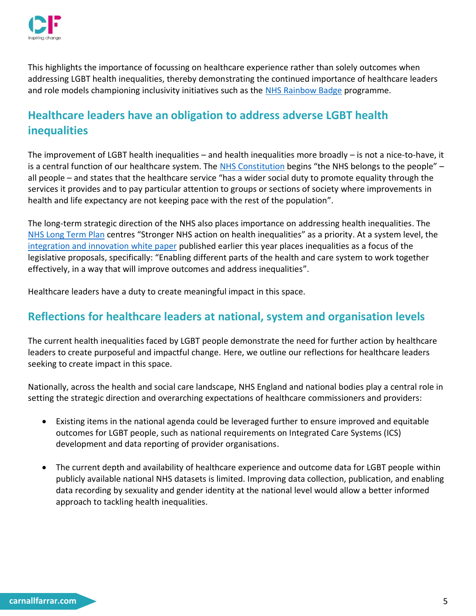

This highlights the importance of focussing on healthcare experience rather than solely outcomes when addressing LGBT health inequalities, thereby demonstrating the continued importance of healthcare leaders and role models championing inclusivity initiatives such as the [NHS Rainbow Badge](https://www.pinknews.co.uk/2021/06/10/rainbow-nhs-badge-pride-lgbt-healthcare-evelina-london-dr-mike-farquhar/) programme.

# **Healthcare leaders have an obligation to address adverse LGBT health inequalities**

The improvement of LGBT health inequalities – and health inequalities more broadly – is not a nice-to-have, it is a central function of our healthcare system. The [NHS Constitution](https://www.gov.uk/government/publications/the-nhs-constitution-for-england/the-nhs-constitution-for-england) begins "the NHS belongs to the people" – all people – and states that the healthcare service "has a wider social duty to promote equality through the services it provides and to pay particular attention to groups or sections of society where improvements in health and life expectancy are not keeping pace with the rest of the population".

The long-term strategic direction of the NHS also places importance on addressing health inequalities. The [NHS Long Term Plan](https://www.longtermplan.nhs.uk/wp-content/uploads/2019/08/nhs-long-term-plan-version-1.2.pdf) centres "Stronger NHS action on health inequalities" as a priority. At a system level, the integration and [innovation white paper](https://www.gov.uk/government/publications/working-together-to-improve-health-and-social-care-for-all/integration-and-innovation-working-together-to-improve-health-and-social-care-for-all-html-version) published earlier this year places inequalities as a focus of the legislative proposals, specifically: "Enabling different parts of the health and care system to work together effectively, in a way that will improve outcomes and address inequalities".

Healthcare leaders have a duty to create meaningful impact in this space.

### **Reflections for healthcare leaders at national, system and organisation levels**

The current health inequalities faced by LGBT people demonstrate the need for further action by healthcare leaders to create purposeful and impactful change. Here, we outline our reflections for healthcare leaders seeking to create impact in this space.

Nationally, across the health and social care landscape, NHS England and national bodies play a central role in setting the strategic direction and overarching expectations of healthcare commissioners and providers:

- Existing items in the national agenda could be leveraged further to ensure improved and equitable outcomes for LGBT people, such as national requirements on Integrated Care Systems (ICS) development and data reporting of provider organisations.
- The current depth and availability of healthcare experience and outcome data for LGBT people within publicly available national NHS datasets is limited. Improving data collection, publication, and enabling data recording by sexuality and gender identity at the national level would allow a better informed approach to tackling health inequalities.